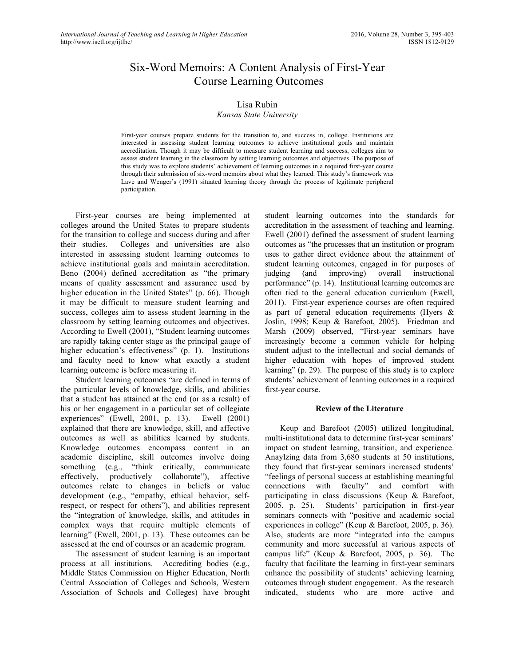# Six-Word Memoirs: A Content Analysis of First-Year Course Learning Outcomes

# Lisa Rubin

#### *Kansas State University*

First-year courses prepare students for the transition to, and success in, college. Institutions are interested in assessing student learning outcomes to achieve institutional goals and maintain accreditation. Though it may be difficult to measure student learning and success, colleges aim to assess student learning in the classroom by setting learning outcomes and objectives. The purpose of this study was to explore students' achievement of learning outcomes in a required first-year course through their submission of six-word memoirs about what they learned. This study's framework was Lave and Wenger's (1991) situated learning theory through the process of legitimate peripheral participation.

First-year courses are being implemented at colleges around the United States to prepare students for the transition to college and success during and after their studies. Colleges and universities are also interested in assessing student learning outcomes to achieve institutional goals and maintain accreditation. Beno (2004) defined accreditation as "the primary means of quality assessment and assurance used by higher education in the United States" (p. 66). Though it may be difficult to measure student learning and success, colleges aim to assess student learning in the classroom by setting learning outcomes and objectives. According to Ewell (2001), "Student learning outcomes are rapidly taking center stage as the principal gauge of higher education's effectiveness" (p. 1). Institutions and faculty need to know what exactly a student learning outcome is before measuring it.

Student learning outcomes "are defined in terms of the particular levels of knowledge, skills, and abilities that a student has attained at the end (or as a result) of his or her engagement in a particular set of collegiate experiences" (Ewell, 2001, p. 13). Ewell (2001) explained that there are knowledge, skill, and affective outcomes as well as abilities learned by students. Knowledge outcomes encompass content in an academic discipline, skill outcomes involve doing something (e.g., "think critically, communicate effectively, productively collaborate"), affective outcomes relate to changes in beliefs or value development (e.g., "empathy, ethical behavior, selfrespect, or respect for others"), and abilities represent the "integration of knowledge, skills, and attitudes in complex ways that require multiple elements of learning" (Ewell, 2001, p. 13). These outcomes can be assessed at the end of courses or an academic program.

The assessment of student learning is an important process at all institutions. Accrediting bodies (e.g., Middle States Commission on Higher Education, North Central Association of Colleges and Schools, Western Association of Schools and Colleges) have brought

student learning outcomes into the standards for accreditation in the assessment of teaching and learning. Ewell (2001) defined the assessment of student learning outcomes as "the processes that an institution or program uses to gather direct evidence about the attainment of student learning outcomes, engaged in for purposes of judging (and improving) overall instructional performance" (p. 14). Institutional learning outcomes are often tied to the general education curriculum (Ewell, 2011). First-year experience courses are often required as part of general education requirements (Hyers & Joslin, 1998; Keup & Barefoot, 2005). Friedman and Marsh (2009) observed, "First-year seminars have increasingly become a common vehicle for helping student adjust to the intellectual and social demands of higher education with hopes of improved student learning" (p. 29). The purpose of this study is to explore students' achievement of learning outcomes in a required first-year course.

#### **Review of the Literature**

Keup and Barefoot (2005) utilized longitudinal, multi-institutional data to determine first-year seminars' impact on student learning, transition, and experience. Anaylzing data from 3,680 students at 50 institutions, they found that first-year seminars increased students' "feelings of personal success at establishing meaningful connections with faculty" and comfort with participating in class discussions (Keup & Barefoot, 2005, p. 25). Students' participation in first-year seminars connects with "positive and academic social experiences in college" (Keup & Barefoot, 2005, p. 36). Also, students are more "integrated into the campus community and more successful at various aspects of campus life" (Keup & Barefoot, 2005, p. 36). The faculty that facilitate the learning in first-year seminars enhance the possibility of students' achieving learning outcomes through student engagement. As the research indicated, students who are more active and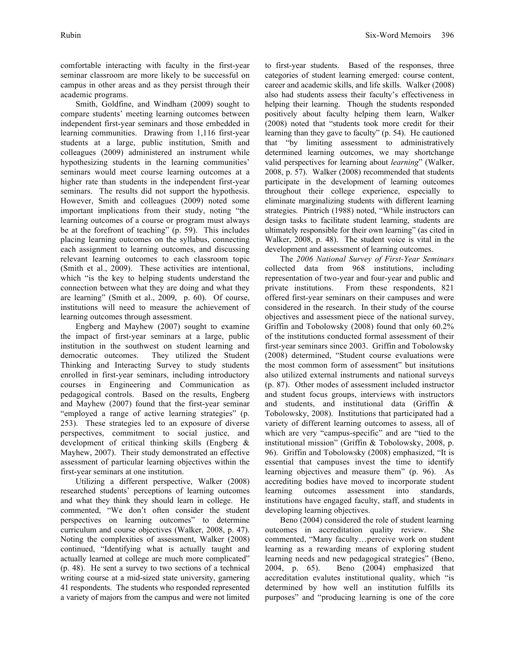comfortable interacting with faculty in the first-year seminar classroom are more likely to be successful on campus in other areas and as they persist through their academic programs.

Smith, Goldfine, and Windham (2009) sought to compare students' meeting learning outcomes between independent first-year seminars and those embedded in learning communities. Drawing from 1,116 first-year students at a large, public institution, Smith and colleagues (2009) administered an instrument while hypothesizing students in the learning communities' seminars would meet course learning outcomes at a higher rate than students in the independent first-year seminars. The results did not support the hypothesis. However, Smith and colleagues (2009) noted some important implications from their study, noting "the learning outcomes of a course or program must always be at the forefront of teaching" (p. 59). This includes placing learning outcomes on the syllabus, connecting each assignment to learning outcomes, and discussing relevant learning outcomes to each classroom topic (Smith et al., 2009). These activities are intentional, which "is the key to helping students understand the connection between what they are doing and what they are learning" (Smith et al., 2009, p. 60). Of course, institutions will need to measure the achievement of learning outcomes through assessment.

Engberg and Mayhew (2007) sought to examine the impact of first-year seminars at a large, public institution in the southwest on student learning and democratic outcomes. They utilized the Student Thinking and Interacting Survey to study students enrolled in first-year seminars, including introductory courses in Engineering and Communication as pedagogical controls. Based on the results, Engberg and Mayhew (2007) found that the first-year seminar "employed a range of active learning strategies" (p. 253). These strategies led to an exposure of diverse perspectives, commitment to social justice, and development of critical thinking skills (Engberg & Mayhew, 2007). Their study demonstrated an effective assessment of particular learning objectives within the first-year seminars at one institution.

Utilizing a different perspective, Walker (2008) researched students' perceptions of learning outcomes and what they think they should learn in college. He commented, "We don't often consider the student perspectives on learning outcomes" to determine curriculum and course objectives (Walker, 2008, p. 47). Noting the complexities of assessment, Walker (2008) continued, "Identifying what is actually taught and actually learned at college are much more complicated" (p. 48). He sent a survey to two sections of a technical writing course at a mid-sized state university, garnering 41 respondents. The students who responded represented a variety of majors from the campus and were not limited

to first-year students. Based of the responses, three categories of student learning emerged: course content, career and academic skills, and life skills. Walker (2008) also had students assess their faculty's effectiveness in helping their learning. Though the students responded positively about faculty helping them learn, Walker (2008) noted that "students took more credit for their learning than they gave to faculty" (p. 54). He cautioned that "by limiting assessment to administratively determined learning outcomes, we may shortchange valid perspectives for learning about *learning*" (Walker, 2008, p. 57). Walker (2008) recommended that students participate in the development of learning outcomes throughout their college experience, especially to eliminate marginalizing students with different learning strategies. Pintrich (1988) noted, "While instructors can design tasks to facilitate student learning, students are ultimately responsible for their own learning" (as cited in Walker, 2008, p. 48). The student voice is vital in the development and assessment of learning outcomes.

The *2006 National Survey of First-Year Seminars* collected data from 968 institutions, including representation of two-year and four-year and public and private institutions. From these respondents, 821 offered first-year seminars on their campuses and were considered in the research. In their study of the course objectives and assessment piece of the national survey, Griffin and Tobolowsky (2008) found that only 60.2% of the institutions conducted formal assessment of their first-year seminars since 2003. Griffin and Tobolowsky (2008) determined, "Student course evaluations were the most common form of assessment" but insitutions also utilized external instruments and national surveys (p. 87). Other modes of assessment included instructor and student focus groups, interviews with instructors and students, and institutional data (Griffin & Tobolowsky, 2008). Institutions that participated had a variety of different learning outcomes to assess, all of which are very "campus-specific" and are "tied to the institutional mission" (Griffin & Tobolowsky, 2008, p. 96). Griffin and Tobolowsky (2008) emphasized, "It is essential that campuses invest the time to identify learning objectives and measure them" (p. 96). As accrediting bodies have moved to incorporate student learning outcomes assessment into standards, institutions have engaged faculty, staff, and students in developing learning objectives.

Beno (2004) considered the role of student learning outcomes in accreditation quality review. She commented, "Many faculty…perceive work on student learning as a rewarding means of exploring student learning needs and new pedagogical strategies" (Beno, 2004, p. 65). Beno (2004) emphasized that accreditation evalutes institutional quality, which "is determined by how well an institution fulfills its purposes" and "producing learning is one of the core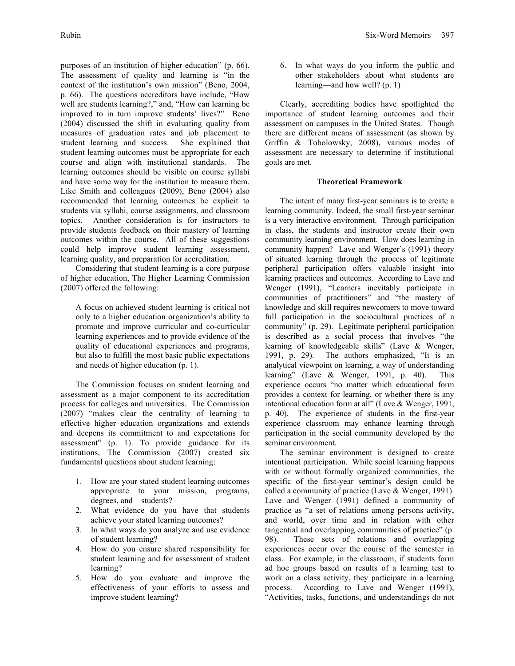purposes of an institution of higher education" (p. 66). The assessment of quality and learning is "in the context of the institution's own mission" (Beno, 2004, p. 66). The questions accreditors have include, "How well are students learning?," and, "How can learning be improved to in turn improve students' lives?" Beno (2004) discussed the shift in evaluating quality from measures of graduation rates and job placement to student learning and success. She explained that student learning outcomes must be appropriate for each course and align with institutional standards. The learning outcomes should be visible on course syllabi and have some way for the institution to measure them. Like Smith and colleagues (2009), Beno (2004) also recommended that learning outcomes be explicit to students via syllabi, course assignments, and classroom topics. Another consideration is for instructors to provide students feedback on their mastery of learning outcomes within the course. All of these suggestions could help improve student learning assessment, learning quality, and preparation for accreditation.

Considering that student learning is a core purpose of higher education, The Higher Learning Commission (2007) offered the following:

A focus on achieved student learning is critical not only to a higher education organization's ability to promote and improve curricular and co-curricular learning experiences and to provide evidence of the quality of educational experiences and programs, but also to fulfill the most basic public expectations and needs of higher education (p. 1).

The Commission focuses on student learning and assessment as a major component to its accreditation process for colleges and universities. The Commission (2007) "makes clear the centrality of learning to effective higher education organizations and extends and deepens its commitment to and expectations for assessment" (p. 1). To provide guidance for its institutions, The Commission (2007) created six fundamental questions about student learning:

- 1. How are your stated student learning outcomes appropriate to your mission, programs, degrees, and students?
- 2. What evidence do you have that students achieve your stated learning outcomes?
- 3. In what ways do you analyze and use evidence of student learning?
- 4. How do you ensure shared responsibility for student learning and for assessment of student learning?
- 5. How do you evaluate and improve the effectiveness of your efforts to assess and improve student learning?

6. In what ways do you inform the public and other stakeholders about what students are learning—and how well? (p. 1)

Clearly, accrediting bodies have spotlighted the importance of student learning outcomes and their assessment on campuses in the United States. Though there are different means of assessment (as shown by Griffin & Tobolowsky, 2008), various modes of assessment are necessary to determine if institutional goals are met.

#### **Theoretical Framework**

The intent of many first-year seminars is to create a learning community. Indeed, the small first-year seminar is a very interactive environment. Through participation in class, the students and instructor create their own community learning environment. How does learning in community happen? Lave and Wenger's (1991) theory of situated learning through the process of legitimate peripheral participation offers valuable insight into learning practices and outcomes. According to Lave and Wenger (1991), "Learners inevitably participate in communities of practitioners" and "the mastery of knowledge and skill requires newcomers to move toward full participation in the sociocultural practices of a community" (p. 29). Legitimate peripheral participation is described as a social process that involves "the learning of knowledgeable skills" (Lave & Wenger, 1991, p. 29). The authors emphasized, "It is an analytical viewpoint on learning, a way of understanding learning" (Lave & Wenger, 1991, p. 40). This experience occurs "no matter which educational form provides a context for learning, or whether there is any intentional education form at all" (Lave & Wenger, 1991, p. 40). The experience of students in the first-year experience classroom may enhance learning through participation in the social community developed by the seminar environment.

The seminar environment is designed to create intentional participation. While social learning happens with or without formally organized communities, the specific of the first-year seminar's design could be called a community of practice (Lave & Wenger, 1991). Lave and Wenger (1991) defined a community of practice as "a set of relations among persons activity, and world, over time and in relation with other tangential and overlapping communities of practice" (p. 98). These sets of relations and overlapping experiences occur over the course of the semester in class. For example, in the classroom, if students form ad hoc groups based on results of a learning test to work on a class activity, they participate in a learning process. According to Lave and Wenger (1991), "Activities, tasks, functions, and understandings do not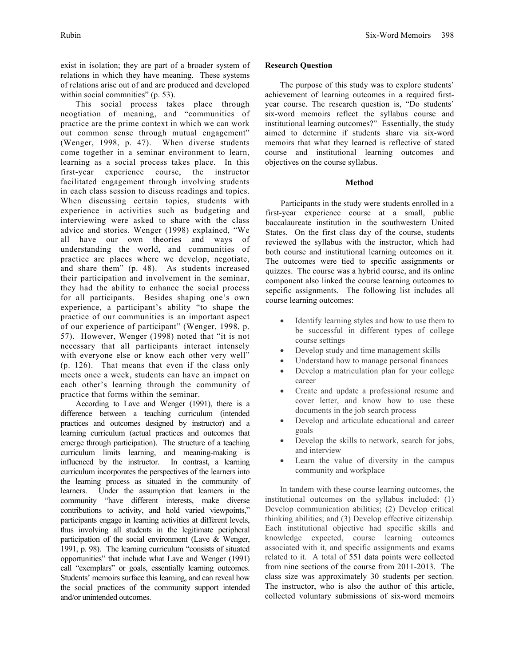exist in isolation; they are part of a broader system of relations in which they have meaning. These systems of relations arise out of and are produced and developed within social commnities" (p. 53).

This social process takes place through neogtiation of meaning, and "communities of practice are the prime context in which we can work out common sense through mutual engagement" (Wenger, 1998, p. 47). When diverse students come together in a seminar environment to learn, learning as a social process takes place. In this first-year experience course, the instructor facilitated engagement through involving students in each class session to discuss readings and topics. When discussing certain topics, students with experience in activities such as budgeting and interviewing were asked to share with the class advice and stories. Wenger (1998) explained, "We all have our own theories and ways of understanding the world, and communities of practice are places where we develop, negotiate, and share them" (p. 48). As students increased their participation and involvement in the seminar, they had the ability to enhance the social process for all participants. Besides shaping one's own experience, a participant's ability "to shape the practice of our communities is an important aspect of our experience of participant" (Wenger, 1998, p. 57). However, Wenger (1998) noted that "it is not necessary that all participants interact intensely with everyone else or know each other very well" (p. 126). That means that even if the class only meets once a week, students can have an impact on each other's learning through the community of practice that forms within the seminar.

According to Lave and Wenger (1991), there is a difference between a teaching curriculum (intended practices and outcomes designed by instructor) and a learning curriculum (actual practices and outcomes that emerge through participation). The structure of a teaching curriculum limits learning, and meaning-making is influenced by the instructor. In contrast, a learning curriculum incorporates the perspectives of the learners into the learning process as situated in the community of learners. Under the assumption that learners in the community "have different interests, make diverse contributions to activity, and hold varied viewpoints," participants engage in learning activities at different levels, thus involving all students in the legitimate peripheral participation of the social environment (Lave & Wenger, 1991, p. 98). The learning curriculum "consists of situated opportunities" that include what Lave and Wenger (1991) call "exemplars" or goals, essentially learning outcomes. Students' memoirs surface this learning, and can reveal how the social practices of the community support intended and/or unintended outcomes.

# **Research Question**

The purpose of this study was to explore students' achievement of learning outcomes in a required firstyear course. The research question is, "Do students' six-word memoirs reflect the syllabus course and institutional learning outcomes?" Essentially, the study aimed to determine if students share via six-word memoirs that what they learned is reflective of stated course and institutional learning outcomes and objectives on the course syllabus.

## **Method**

Participants in the study were students enrolled in a first-year experience course at a small, public baccalaureate institution in the southwestern United States. On the first class day of the course, students reviewed the syllabus with the instructor, which had both course and institutional learning outcomes on it. The outcomes were tied to specific assignments or quizzes. The course was a hybrid course, and its online component also linked the course learning outcomes to sepcific assignments. The following list includes all course learning outcomes:

- Identify learning styles and how to use them to be successful in different types of college course settings
- Develop study and time management skills
- Understand how to manage personal finances
- Develop a matriculation plan for your college career
- Create and update a professional resume and cover letter, and know how to use these documents in the job search process
- Develop and articulate educational and career goals
- Develop the skills to network, search for jobs, and interview
- Learn the value of diversity in the campus community and workplace

In tandem with these course learning outcomes, the institutional outcomes on the syllabus included: (1) Develop communication abilities; (2) Develop critical thinking abilities; and (3) Develop effective citizenship. Each institutional objective had specific skills and knowledge expected, course learning outcomes associated with it, and specific assignments and exams related to it. A total of 551 data points were collected from nine sections of the course from 2011-2013. The class size was approximately 30 students per section. The instructor, who is also the author of this article, collected voluntary submissions of six-word memoirs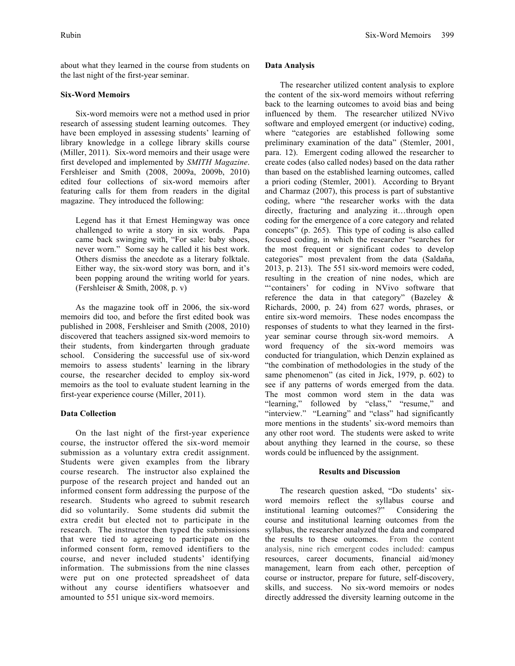about what they learned in the course from students on the last night of the first-year seminar.

## **Six-Word Memoirs**

Six-word memoirs were not a method used in prior research of assessing student learning outcomes. They have been employed in assessing students' learning of library knowledge in a college library skills course (Miller, 2011). Six-word memoirs and their usage were first developed and implemented by *SMITH Magazine*. Fershleiser and Smith (2008, 2009a, 2009b, 2010) edited four collections of six-word memoirs after featuring calls for them from readers in the digital magazine. They introduced the following:

Legend has it that Ernest Hemingway was once challenged to write a story in six words. Papa came back swinging with, "For sale: baby shoes, never worn." Some say he called it his best work. Others dismiss the anecdote as a literary folktale. Either way, the six-word story was born, and it's been popping around the writing world for years. (Fershleiser & Smith, 2008, p. v)

As the magazine took off in 2006, the six-word memoirs did too, and before the first edited book was published in 2008, Fershleiser and Smith (2008, 2010) discovered that teachers assigned six-word memoirs to their students, from kindergarten through graduate school. Considering the successful use of six-word memoirs to assess students' learning in the library course, the researcher decided to employ six-word memoirs as the tool to evaluate student learning in the first-year experience course (Miller, 2011).

# **Data Collection**

On the last night of the first-year experience course, the instructor offered the six-word memoir submission as a voluntary extra credit assignment. Students were given examples from the library course research. The instructor also explained the purpose of the research project and handed out an informed consent form addressing the purpose of the research. Students who agreed to submit research did so voluntarily. Some students did submit the extra credit but elected not to participate in the research. The instructor then typed the submissions that were tied to agreeing to participate on the informed consent form, removed identifiers to the course, and never included students' identifying information. The submissions from the nine classes were put on one protected spreadsheet of data without any course identifiers whatsoever and amounted to 551 unique six-word memoirs.

## **Data Analysis**

The researcher utilized content analysis to explore the content of the six-word memoirs without referring back to the learning outcomes to avoid bias and being influenced by them. The researcher utilized NVivo software and employed emergent (or inductive) coding, where "categories are established following some preliminary examination of the data" (Stemler, 2001, para. 12). Emergent coding allowed the researcher to create codes (also called nodes) based on the data rather than based on the established learning outcomes, called a priori coding (Stemler, 2001). According to Bryant and Charmaz (2007), this process is part of substantive coding, where "the researcher works with the data directly, fracturing and analyzing it…through open coding for the emergence of a core category and related concepts" (p. 265). This type of coding is also called focused coding, in which the researcher "searches for the most frequent or significant codes to develop categories" most prevalent from the data (Saldaña, 2013, p. 213). The 551 six-word memoirs were coded, resulting in the creation of nine nodes, which are "'containers' for coding in NVivo software that reference the data in that category" (Bazeley & Richards, 2000, p. 24) from 627 words, phrases, or entire six-word memoirs. These nodes encompass the responses of students to what they learned in the firstyear seminar course through six-word memoirs. A word frequency of the six-word memoirs was conducted for triangulation, which Denzin explained as "the combination of methodologies in the study of the same phenomenon" (as cited in Jick, 1979, p. 602) to see if any patterns of words emerged from the data. The most common word stem in the data was "learning," followed by "class," "resume," and "interview." "Learning" and "class" had significantly more mentions in the students' six-word memoirs than any other root word. The students were asked to write about anything they learned in the course, so these words could be influenced by the assignment.

## **Results and Discussion**

The research question asked, "Do students' sixword memoirs reflect the syllabus course and institutional learning outcomes?" Considering the course and institutional learning outcomes from the syllabus, the researcher analyzed the data and compared the results to these outcomes. From the content analysis, nine rich emergent codes included: campus resources, career documents, financial aid/money management, learn from each other, perception of course or instructor, prepare for future, self-discovery, skills, and success. No six-word memoirs or nodes directly addressed the diversity learning outcome in the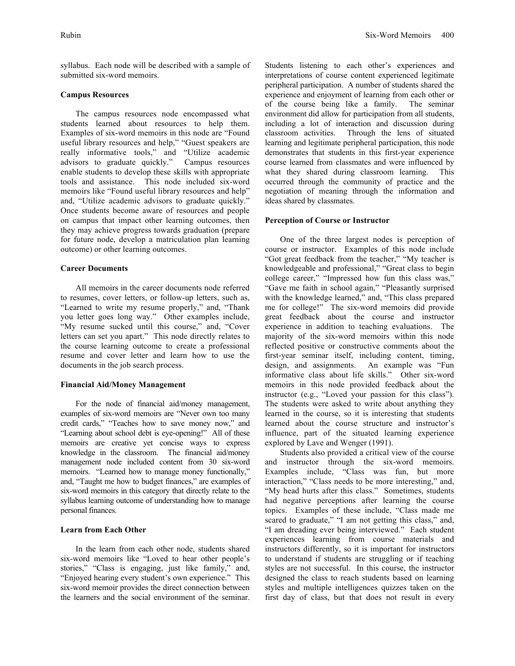#### **Campus Resources**

submitted six-word memoirs.

The campus resources node encompassed what students learned about resources to help them. Examples of six-word memoirs in this node are "Found useful library resources and help," "Guest speakers are really informative tools," and "Utilize academic advisors to graduate quickly." Campus resources enable students to develop these skills with appropriate tools and assistance. This node included six-word memoirs like "Found useful library resources and help" and, "Utilize academic advisors to graduate quickly." Once students become aware of resources and people on campus that impact other learning outcomes, then they may achieve progress towards graduation (prepare for future node, develop a matriculation plan learning outcome) or other learning outcomes.

## **Career Documents**

All memoirs in the career documents node referred to resumes, cover letters, or follow-up letters, such as, "Learned to write my resume properly," and, "Thank you letter goes long way." Other examples include, "My resume sucked until this course," and, "Cover letters can set you apart." This node directly relates to the course learning outcome to create a professional resume and cover letter and learn how to use the documents in the job search process.

#### **Financial Aid/Money Management**

For the node of financial aid/money management, examples of six-word memoirs are "Never own too many credit cards," "Teaches how to save money now," and "Learning about school debt is eye-opening!" All of these memoirs are creative yet concise ways to express knowledge in the classroom. The financial aid/money management node included content from 30 six-word memoirs. "Learned how to manage money functionally," and, "Taught me how to budget finances," are examples of six-word memoirs in this category that directly relate to the syllabus learning outcome of understanding how to manage personal finances.

#### **Learn from Each Other**

In the learn from each other node, students shared six-word memoirs like "Loved to hear other people's stories," "Class is engaging, just like family," and, "Enjoyed hearing every student's own experience." This six-word memoir provides the direct connection between the learners and the social environment of the seminar. Students listening to each other's experiences and interpretations of course content experienced legitimate peripheral participation. A number of students shared the experience and enjoyment of learning from each other or of the course being like a family. The seminar environment did allow for participation from all students, including a lot of interaction and discussion during classroom activities. Through the lens of situated learning and legitimate peripheral participation, this node demonstrates that students in this first-year experience course learned from classmates and were influenced by what they shared during classroom learning. This occurred through the community of practice and the negotiation of meaning through the information and ideas shared by classmates.

## **Perception of Course or Instructor**

One of the three largest nodes is perception of course or instructor. Examples of this node include "Got great feedback from the teacher," "My teacher is knowledgeable and professional," "Great class to begin college career," "Impressed how fun this class was," "Gave me faith in school again," "Pleasantly surprised with the knowledge learned," and, "This class prepared me for college!" The six-word memoirs did provide great feedback about the course and instructor experience in addition to teaching evaluations. The majority of the six-word memoirs within this node reflected positive or constructive comments about the first-year seminar itself, including content, timing, design, and assignments. An example was "Fun informative class about life skills." Other six-word memoirs in this node provided feedback about the instructor (e.g., "Loved your passion for this class"). The students were asked to write about anything they learned in the course, so it is interesting that students learned about the course structure and instructor's influence, part of the situated learning experience explored by Lave and Wenger (1991).

Students also provided a critical view of the course and instructor through the six-word memoirs. Examples include, "Class was fun, but more interaction," "Class needs to be more interesting," and, "My head hurts after this class." Sometimes, students had negative perceptions after learning the course topics. Examples of these include, "Class made me scared to graduate," "I am not getting this class," and, "I am dreading ever being interviewed." Each student experiences learning from course materials and instructors differently, so it is important for instructors to understand if students are struggling or if teaching styles are not successful. In this course, the instructor designed the class to reach students based on learning styles and multiple intelligences quizzes taken on the first day of class, but that does not result in every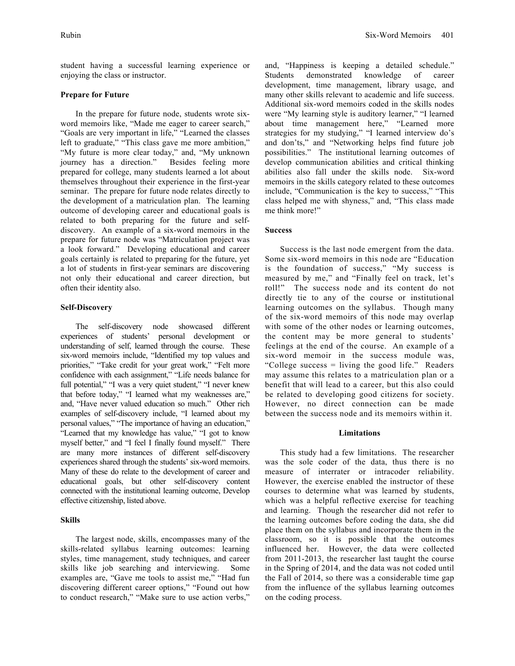student having a successful learning experience or enjoying the class or instructor.

#### **Prepare for Future**

In the prepare for future node, students wrote sixword memoirs like, "Made me eager to career search," "Goals are very important in life," "Learned the classes left to graduate," "This class gave me more ambition," "My future is more clear today," and, "My unknown journey has a direction." Besides feeling more prepared for college, many students learned a lot about themselves throughout their experience in the first-year seminar. The prepare for future node relates directly to the development of a matriculation plan. The learning outcome of developing career and educational goals is related to both preparing for the future and selfdiscovery. An example of a six-word memoirs in the prepare for future node was "Matriculation project was a look forward." Developing educational and career goals certainly is related to preparing for the future, yet a lot of students in first-year seminars are discovering not only their educational and career direction, but often their identity also.

## **Self-Discovery**

The self-discovery node showcased different experiences of students' personal development or understanding of self, learned through the course. These six-word memoirs include, "Identified my top values and priorities," "Take credit for your great work," "Felt more confidence with each assignment," "Life needs balance for full potential," "I was a very quiet student," "I never knew that before today," "I learned what my weaknesses are," and, "Have never valued education so much." Other rich examples of self-discovery include, "I learned about my personal values," "The importance of having an education," "Learned that my knowledge has value," "I got to know myself better," and "I feel I finally found myself." There are many more instances of different self-discovery experiences shared through the students' six-word memoirs. Many of these do relate to the development of career and educational goals, but other self-discovery content connected with the institutional learning outcome, Develop effective citizenship, listed above.

# **Skills**

The largest node, skills, encompasses many of the skills-related syllabus learning outcomes: learning styles, time management, study techniques, and career skills like job searching and interviewing. Some examples are, "Gave me tools to assist me," "Had fun discovering different career options," "Found out how to conduct research," "Make sure to use action verbs,"

and, "Happiness is keeping a detailed schedule." Students demonstrated knowledge of career development, time management, library usage, and many other skills relevant to academic and life success. Additional six-word memoirs coded in the skills nodes were "My learning style is auditory learner," "I learned about time management here," "Learned more strategies for my studying," "I learned interview do's and don'ts," and "Networking helps find future job possibilities." The institutional learning outcomes of develop communication abilities and critical thinking abilities also fall under the skills node. Six-word memoirs in the skills category related to these outcomes include, "Communication is the key to success," "This class helped me with shyness," and, "This class made me think more!"

#### **Success**

Success is the last node emergent from the data. Some six-word memoirs in this node are "Education is the foundation of success," "My success is measured by me," and "Finally feel on track, let's roll!" The success node and its content do not directly tie to any of the course or institutional learning outcomes on the syllabus. Though many of the six-word memoirs of this node may overlap with some of the other nodes or learning outcomes, the content may be more general to students' feelings at the end of the course. An example of a six-word memoir in the success module was, "College success = living the good life." Readers may assume this relates to a matriculation plan or a benefit that will lead to a career, but this also could be related to developing good citizens for society. However, no direct connection can be made between the success node and its memoirs within it.

#### **Limitations**

This study had a few limitations. The researcher was the sole coder of the data, thus there is no measure of interrater or intracoder reliability. However, the exercise enabled the instructor of these courses to determine what was learned by students, which was a helpful reflective exercise for teaching and learning. Though the researcher did not refer to the learning outcomes before coding the data, she did place them on the syllabus and incorporate them in the classroom, so it is possible that the outcomes influenced her. However, the data were collected from 2011-2013, the researcher last taught the course in the Spring of 2014, and the data was not coded until the Fall of 2014, so there was a considerable time gap from the influence of the syllabus learning outcomes on the coding process.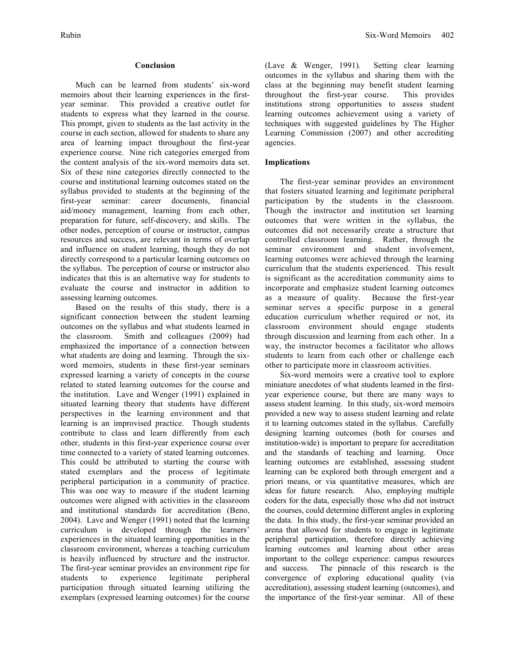## **Conclusion**

Much can be learned from students' six-word memoirs about their learning experiences in the firstyear seminar. This provided a creative outlet for students to express what they learned in the course. This prompt, given to students as the last activity in the course in each section, allowed for students to share any area of learning impact throughout the first-year experience course. Nine rich categories emerged from the content analysis of the six-word memoirs data set. Six of these nine categories directly connected to the course and institutional learning outcomes stated on the syllabus provided to students at the beginning of the first-year seminar: career documents, financial aid/money management, learning from each other, preparation for future, self-discovery, and skills. The other nodes, perception of course or instructor, campus resources and success, are relevant in terms of overlap and influence on student learning, though they do not directly correspond to a particular learning outcomes on the syllabus. The perception of course or instructor also indicates that this is an alternative way for students to evaluate the course and instructor in addition to assessing learning outcomes.

Based on the results of this study, there is a significant connection between the student learning outcomes on the syllabus and what students learned in the classroom. Smith and colleagues (2009) had emphasized the importance of a connection between what students are doing and learning. Through the sixword memoirs, students in these first-year seminars expressed learning a variety of concepts in the course related to stated learning outcomes for the course and the institution. Lave and Wenger (1991) explained in situated learning theory that students have different perspectives in the learning environment and that learning is an improvised practice. Though students contribute to class and learn differently from each other, students in this first-year experience course over time connected to a variety of stated learning outcomes. This could be attributed to starting the course with stated exemplars and the process of legitimate peripheral participation in a community of practice. This was one way to measure if the student learning outcomes were aligned with activities in the classroom and institutional standards for accreditation (Beno, 2004). Lave and Wenger (1991) noted that the learning curriculum is developed through the learners' experiences in the situated learning opportunities in the classroom environment, whereas a teaching curriculum is heavily influenced by structure and the instructor. The first-year seminar provides an environment ripe for students to experience legitimate peripheral participation through situated learning utilizing the exemplars (expressed learning outcomes) for the course

(Lave & Wenger, 1991). Setting clear learning outcomes in the syllabus and sharing them with the class at the beginning may benefit student learning throughout the first-year course. This provides institutions strong opportunities to assess student learning outcomes achievement using a variety of techniques with suggested guidelines by The Higher Learning Commission (2007) and other accrediting agencies.

## **Implications**

The first-year seminar provides an environment that fosters situated learning and legitimate peripheral participation by the students in the classroom. Though the instructor and institution set learning outcomes that were written in the syllabus, the outcomes did not necessarily create a structure that controlled classroom learning. Rather, through the seminar environment and student involvement, learning outcomes were achieved through the learning curriculum that the students experienced. This result is significant as the accreditation community aims to incorporate and emphasize student learning outcomes as a measure of quality. Because the first-year seminar serves a specific purpose in a general education curriculum whether required or not, its classroom environment should engage students through discussion and learning from each other. In a way, the instructor becomes a facilitator who allows students to learn from each other or challenge each other to participate more in classroom activities.

Six-word memoirs were a creative tool to explore miniature anecdotes of what students learned in the firstyear experience course, but there are many ways to assess student learning. In this study, six-word memoirs provided a new way to assess student learning and relate it to learning outcomes stated in the syllabus. Carefully designing learning outcomes (both for courses and institution-wide) is important to prepare for accreditation and the standards of teaching and learning. Once learning outcomes are established, assessing student learning can be explored both through emergent and a priori means, or via quantitative measures, which are ideas for future research. Also, employing multiple coders for the data, especially those who did not instruct the courses, could determine different angles in exploring the data. In this study, the first-year seminar provided an arena that allowed for students to engage in legitimate peripheral participation, therefore directly achieving learning outcomes and learning about other areas important to the college experience: campus resources and success. The pinnacle of this research is the convergence of exploring educational quality (via accreditation), assessing student learning (outcomes), and the importance of the first-year seminar. All of these